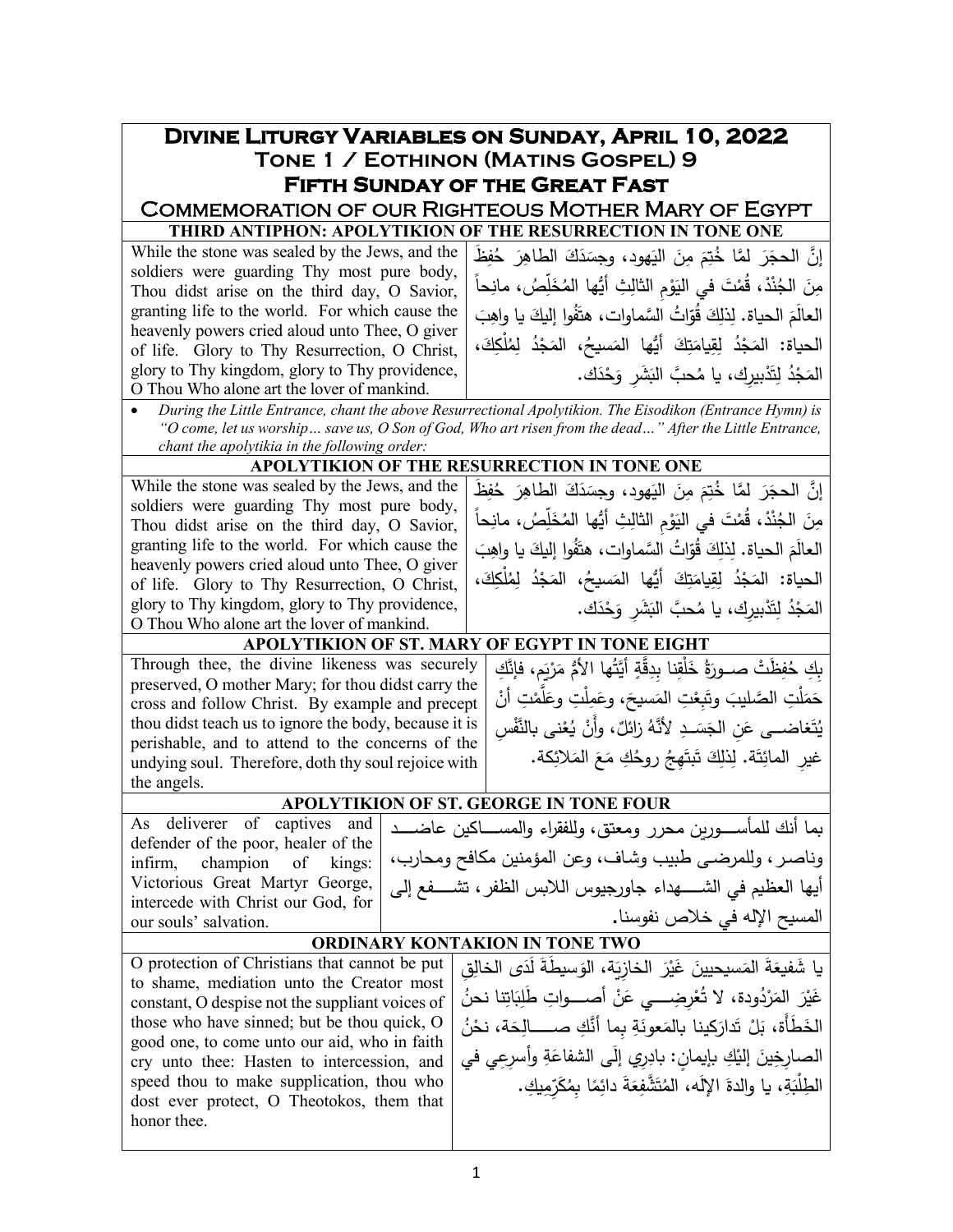| <b>DIVINE LITURGY VARIABLES ON SUNDAY, APRIL 10, 2022</b>                                                                                                                                                                       |  |                                                                                                                                 |  |  |  |  |  |  |
|---------------------------------------------------------------------------------------------------------------------------------------------------------------------------------------------------------------------------------|--|---------------------------------------------------------------------------------------------------------------------------------|--|--|--|--|--|--|
| TONE 1 / EOTHINON (MATINS GOSPEL) 9                                                                                                                                                                                             |  |                                                                                                                                 |  |  |  |  |  |  |
| <b>FIFTH SUNDAY OF THE GREAT FAST</b>                                                                                                                                                                                           |  |                                                                                                                                 |  |  |  |  |  |  |
| <b>COMMEMORATION OF OUR RIGHTEOUS MOTHER MARY OF EGYPT</b>                                                                                                                                                                      |  |                                                                                                                                 |  |  |  |  |  |  |
|                                                                                                                                                                                                                                 |  | THIRD ANTIPHON: APOLYTIKION OF THE RESURRECTION IN TONE ONE                                                                     |  |  |  |  |  |  |
| While the stone was sealed by the Jews, and the                                                                                                                                                                                 |  | إِنَّ الحجَرَ لَمَّا خُتِمَ مِنَ الْيَهودِ، وجسَدَكَ الطاهِرَ حُفِظَ                                                            |  |  |  |  |  |  |
| soldiers were guarding Thy most pure body,<br>Thou didst arise on the third day, O Savior,                                                                                                                                      |  | مِنَ الْجُنْدْ، قُمْتَ في اليَوْمِ الثّالِثِ أَيُّها الْمُخَلِّصُ، مانِحاً                                                      |  |  |  |  |  |  |
| granting life to the world. For which cause the                                                                                                                                                                                 |  | العالَمَ الحياة. لِذلِكَ قُوّاتُ السَّماوات، هتَفُوا إليكَ يا واهِبَ                                                            |  |  |  |  |  |  |
| heavenly powers cried aloud unto Thee, O giver                                                                                                                                                                                  |  |                                                                                                                                 |  |  |  |  |  |  |
| of life. Glory to Thy Resurrection, O Christ,                                                                                                                                                                                   |  | الحياة: المَجْدُ لِقِيامَتِكَ أَيُّها المَسيحُ، المَجْدُ لِمُلْكِكَ،                                                            |  |  |  |  |  |  |
| glory to Thy kingdom, glory to Thy providence,                                                                                                                                                                                  |  | المَجْدُ لِتَدْبِيرِكِ، يا مُحبَّ البَشَرِ وَحْدَك.                                                                             |  |  |  |  |  |  |
| O Thou Who alone art the lover of mankind.                                                                                                                                                                                      |  |                                                                                                                                 |  |  |  |  |  |  |
| During the Little Entrance, chant the above Resurrectional Apolytikion. The Eisodikon (Entrance Hymn) is<br>$\bullet$<br>"O come, let us worship save us, O Son of God, Who art risen from the dead" After the Little Entrance, |  |                                                                                                                                 |  |  |  |  |  |  |
| chant the apolytikia in the following order:                                                                                                                                                                                    |  | APOLYTIKION OF THE RESURRECTION IN TONE ONE                                                                                     |  |  |  |  |  |  |
| While the stone was sealed by the Jews, and the                                                                                                                                                                                 |  |                                                                                                                                 |  |  |  |  |  |  |
| soldiers were guarding Thy most pure body,                                                                                                                                                                                      |  | إِنَّ الحجَرَ لَمَّا خُتِمَ مِنَ الْيَهودِ، وجسَدَكَ الطاهِرَ حُفِظَ                                                            |  |  |  |  |  |  |
| Thou didst arise on the third day, O Savior,                                                                                                                                                                                    |  | مِنَ الجُنْدْ، قُمْتَ في اليَوْمِ الثالِثِ أَيُّها المُخَلِّصُ، مانِحاً                                                         |  |  |  |  |  |  |
| granting life to the world. For which cause the                                                                                                                                                                                 |  | العالَمَ الحياة. لِذلِكَ قُوّاتُ السَّماوات، هتَفُوا إليكَ يا واهِبَ                                                            |  |  |  |  |  |  |
| heavenly powers cried aloud unto Thee, O giver<br>of life. Glory to Thy Resurrection, O Christ,                                                                                                                                 |  | الحياة: المَجْدُ لِقِيامَتِكَ أَيُّها المَسيحُ، المَجْدُ لِمُلْكِكَ،                                                            |  |  |  |  |  |  |
| glory to Thy kingdom, glory to Thy providence,                                                                                                                                                                                  |  | المَجْدُ لِتَدْبِيرِك، يا مُحبَّ البَشَرِ وَحْدَك.                                                                              |  |  |  |  |  |  |
| O Thou Who alone art the lover of mankind.                                                                                                                                                                                      |  |                                                                                                                                 |  |  |  |  |  |  |
|                                                                                                                                                                                                                                 |  | APOLYTIKION OF ST. MARY OF EGYPT IN TONE EIGHT                                                                                  |  |  |  |  |  |  |
| Through thee, the divine likeness was securely                                                                                                                                                                                  |  | بِكِ حُفِظَتْ صــورَةُ خَلْقِنا بدِقَّةٍ أَيَّتُها الأُمُّ مَرْيَمٍ، فإنَّكِ                                                    |  |  |  |  |  |  |
| preserved, O mother Mary; for thou didst carry the                                                                                                                                                                              |  | حَمَلْتِ الصَّليبَ وتَبعْتِ المَسيحَ، وعَمِلْتِ وعَلَّمْتِ أَنْ                                                                 |  |  |  |  |  |  |
| cross and follow Christ. By example and precept<br>thou didst teach us to ignore the body, because it is                                                                                                                        |  |                                                                                                                                 |  |  |  |  |  |  |
| perishable, and to attend to the concerns of the                                                                                                                                                                                |  | يُتَغاضـــي عَن الجَسَــدِ لأنَّهُ زائلٌ، وأَنْ يُعْنى بالنَّفْسِ                                                               |  |  |  |  |  |  |
| undying soul. Therefore, doth thy soul rejoice with                                                                                                                                                                             |  | غيرِ المائِتَةِ. لِذَلِكَ تَبتَهِجُ رِوِحُكِ مَعَ المَلائِكةِ.                                                                  |  |  |  |  |  |  |
| the angels.                                                                                                                                                                                                                     |  |                                                                                                                                 |  |  |  |  |  |  |
|                                                                                                                                                                                                                                 |  | APOLYTIKION OF ST. GEORGE IN TONE FOUR                                                                                          |  |  |  |  |  |  |
| defender of the poor, healer of the                                                                                                                                                                                             |  | As deliverer of captives and   معاضد العسكان عاضد العباء العام العام العام العام المعامرين محرر ومعتق، وللفقراء والمسكاكين عاضد |  |  |  |  |  |  |
| champion<br>infirm,<br>of<br>kings:                                                                                                                                                                                             |  | وناصر ، وللمرضى طبيب وشاف، وعن المؤمنين مكافح ومحارب،                                                                           |  |  |  |  |  |  |
| Victorious Great Martyr George,                                                                                                                                                                                                 |  | أيها العظيم في الشـــــهداء جاورجيوس اللابس الظفر ، تشــــفع إلى                                                                |  |  |  |  |  |  |
| intercede with Christ our God, for                                                                                                                                                                                              |  | المسيح الإله في خلاص نفوسنا.                                                                                                    |  |  |  |  |  |  |
| our souls' salvation.                                                                                                                                                                                                           |  | <b>ORDINARY KONTAKION IN TONE TWO</b>                                                                                           |  |  |  |  |  |  |
|                                                                                                                                                                                                                                 |  |                                                                                                                                 |  |  |  |  |  |  |
| O protection of Christians that cannot be put<br>to shame, mediation unto the Creator most                                                                                                                                      |  | يا شَفيعَةَ المَسيحيينَ غَيْرَ الْخازِيَةِ، الوَسيطةَ لَدَى الْخالِقِ                                                           |  |  |  |  |  |  |
| constant, O despise not the suppliant voices of                                                                                                                                                                                 |  | غَيْرَ المَرْدُودة، لا تُعْرِضِــــي عَنْ أصــــواتِ طَلِبَاتِنا نحنُ                                                           |  |  |  |  |  |  |
| those who have sinned; but be thou quick, O                                                                                                                                                                                     |  | الخَطَأَة، بَلْ تَدارَكينا بالمَعونَةِ بما أنَّكِ صـــــالِحَة، نحْنُ                                                           |  |  |  |  |  |  |
| good one, to come unto our aid, who in faith                                                                                                                                                                                    |  | الصارِخِينَ إليْكِ بإيمانِ: بادِرِي إِلَى الشفاعَةِ وأسرِعِي في                                                                 |  |  |  |  |  |  |
| cry unto thee: Hasten to intercession, and<br>speed thou to make supplication, thou who                                                                                                                                         |  |                                                                                                                                 |  |  |  |  |  |  |
| dost ever protect, O Theotokos, them that                                                                                                                                                                                       |  | الطِلْبَةِ، يا والدةَ الإِلَه، المُتَشْفِعَةَ دائِمًا بِمُكَرِّمِيكِ.                                                           |  |  |  |  |  |  |
| honor thee.                                                                                                                                                                                                                     |  |                                                                                                                                 |  |  |  |  |  |  |
|                                                                                                                                                                                                                                 |  |                                                                                                                                 |  |  |  |  |  |  |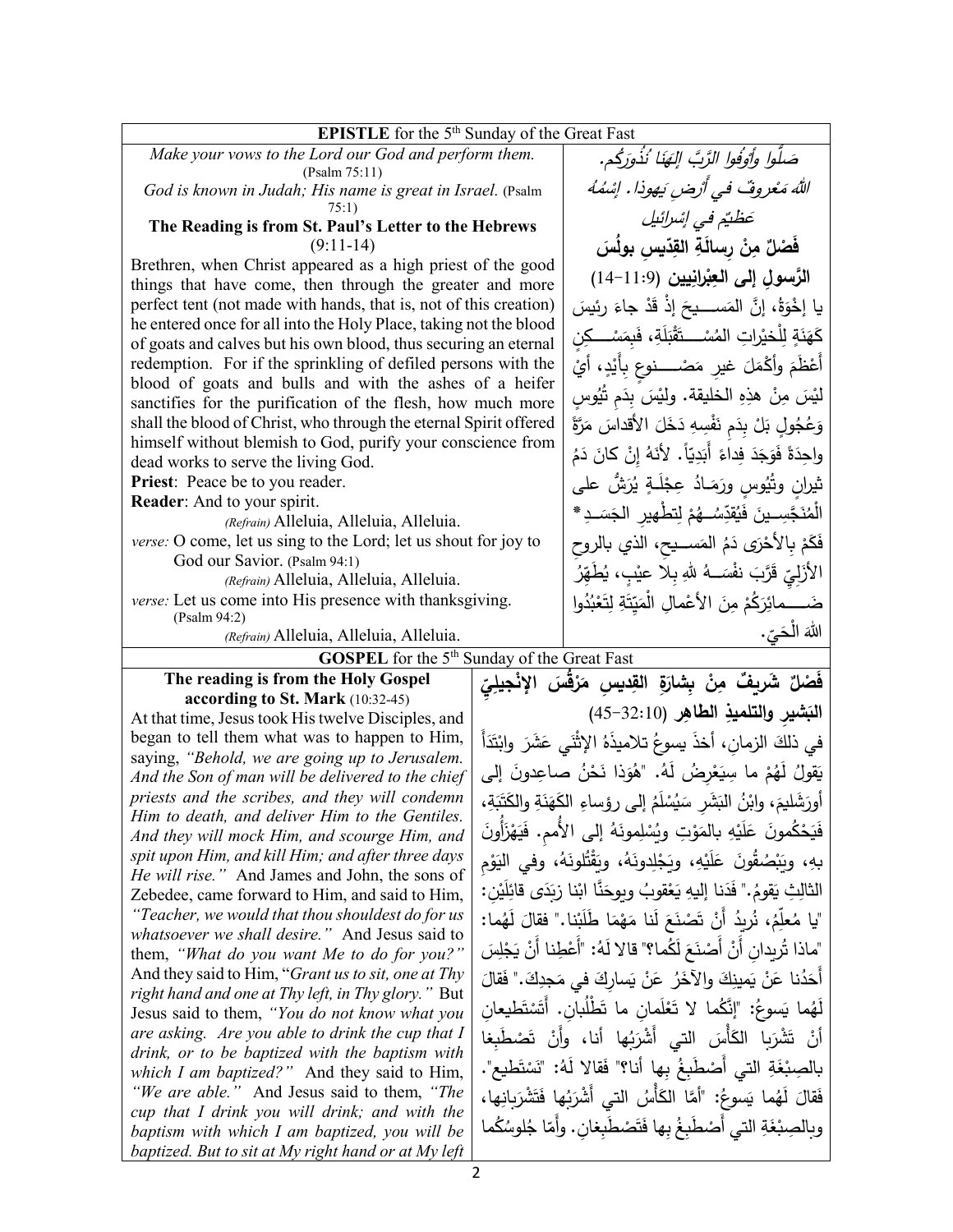| <b>EPISTLE</b> for the $5th$ Sunday of the Great Fast                                                                    |                                                                             |                                                                           |  |  |  |  |
|--------------------------------------------------------------------------------------------------------------------------|-----------------------------------------------------------------------------|---------------------------------------------------------------------------|--|--|--|--|
| Make your vows to the Lord our God and perform them.                                                                     | صَلُّوا وأَوْفُوا الرَّبَّ الِهَنَا ۢنُذُوَرِكُم.                           |                                                                           |  |  |  |  |
| (Psalm 75:11)                                                                                                            |                                                                             |                                                                           |  |  |  |  |
| God is known in Judah; His name is great in Israel. (Psalm                                                               |                                                                             | الله مَعْروفٌ في أرْض يَهوذا. إِسْمُهُ                                    |  |  |  |  |
| 75:1)<br>The Reading is from St. Paul's Letter to the Hebrews                                                            |                                                                             | عَظْتُمْ في إِسْرائِيل                                                    |  |  |  |  |
| $(9:11-14)$                                                                                                              |                                                                             | فَصْلٌ مِنْ رسالَةِ القِدِّيسِ بولُسَ                                     |  |  |  |  |
| Brethren, when Christ appeared as a high priest of the good<br>things that have come, then through the greater and more  |                                                                             | الرَّسولِ إلى العِبْرانِيين (11:9-14)                                     |  |  |  |  |
| perfect tent (not made with hands, that is, not of this creation)                                                        | يا إِخْوَةُ، إِنَّ المَســــيحَ إِذْ قَدْ جاءَ رِئِيسَ                      |                                                                           |  |  |  |  |
| he entered once for all into the Holy Place, taking not the blood                                                        |                                                                             |                                                                           |  |  |  |  |
| of goats and calves but his own blood, thus securing an eternal                                                          | كَهَنَةٍ لِلْخيْراتِ المُسْــــتَقْبَلَةِ، فَبِمَسْـــكِن                   |                                                                           |  |  |  |  |
| redemption. For if the sprinkling of defiled persons with the<br>blood of goats and bulls and with the ashes of a heifer |                                                                             |                                                                           |  |  |  |  |
| sanctifies for the purification of the flesh, how much more                                                              | ليْسَ مِنْ هذِهِ الخليقة. ولِيْسَ بِدَم تُيُوسِ                             |                                                                           |  |  |  |  |
| shall the blood of Christ, who through the eternal Spirit offered                                                        | وَعُجُولٍ بَلْ بِدَم نَفْسِهِ دَخَلَ الأقداسَ مَرَّةً                       |                                                                           |  |  |  |  |
| himself without blemish to God, purify your conscience from<br>dead works to serve the living God.                       | واحِدَةً فَوَجَدَ فِداءً أَبَدِيّاً. لأَنَهُ إِنْ كانَ دَمُ                 |                                                                           |  |  |  |  |
| Priest: Peace be to you reader.                                                                                          |                                                                             | ثيران وتُيُوسِ ورَمَـادُ عِجْلَـةٍ يُرَشُّ على                            |  |  |  |  |
| Reader: And to your spirit.                                                                                              |                                                                             | الْمُنَجَّسِــينَ فَيُقَدِّسُــهُمْ لِتطْهِيرِ الْجَسَــدِ*               |  |  |  |  |
| (Refrain) Alleluia, Alleluia, Alleluia.<br>verse: O come, let us sing to the Lord; let us shout for joy to               |                                                                             |                                                                           |  |  |  |  |
| God our Savior. (Psalm 94:1)                                                                                             | فَكَمْ بِالأَحْرَى دَمُ المَســيح، الذي بالروح                              |                                                                           |  |  |  |  |
| (Refrain) Alleluia, Alleluia, Alleluia.                                                                                  | الأَزَلِيّ قَرَّبَ نفْسَــهُ للهِ بِـلا عيْبٍ، يُطَهِّرُ                    |                                                                           |  |  |  |  |
| verse: Let us come into His presence with thanksgiving.<br>(Psalm 94:2)                                                  | ضَــــمائِرَكُمْ مِنَ الأَعْمالِ الْمَيّتَةِ لِتَعْبُدُوا                   |                                                                           |  |  |  |  |
| (Refrain) Alleluia, Alleluia, Alleluia.                                                                                  | اللهَ الْحَيِّ.                                                             |                                                                           |  |  |  |  |
| <b>GOSPEL</b> for the 5 <sup>th</sup> Sunday of the Great Fast                                                           |                                                                             |                                                                           |  |  |  |  |
| The reading is from the Holy Gospel                                                                                      |                                                                             | فَصْلٌ شَريفٌ مِنْ بِشارَةِ القِديسِ مَرْقَسَ الإِنْجِيلِيِّ              |  |  |  |  |
| according to St. Mark (10:32-45)<br>At that time, Jesus took His twelve Disciples, and                                   |                                                                             | البَشيرِ والتلميذِ الطاهِرِ (32:10-45)                                    |  |  |  |  |
| began to tell them what was to happen to Him,                                                                            | في ذلكَ الزمان، أخذَ يسوعُ تلاميذَهُ الإثْنَى عَشَرَ وابْتَدَأَ             |                                                                           |  |  |  |  |
| saying, "Behold, we are going up to Jerusalem.                                                                           |                                                                             |                                                                           |  |  |  |  |
| And the Son of man will be delivered to the chief<br>priests and the scribes, and they will condemn                      | يَقولُ لَهُمْ ما سِيَعْرِضُ لَهُ. "هُوَذا نَحْنُ صاعِدونَ إلى               |                                                                           |  |  |  |  |
| Him to death, and deliver Him to the Gentiles.                                                                           | أُورَشَليمَ، وابْنُ البَشَرِ سَيُسْلَمُ إلى رؤساءِ الكَهَنَةِ والكَتَبَةِ،  |                                                                           |  |  |  |  |
| And they will mock Him, and scourge Him, and                                                                             | فَيَحْكُمونَ عَلَيْهِ بالمَوْتِ ويُسْلِمونَهُ إلى الأَمم. فَيَهْزَأُونَ     |                                                                           |  |  |  |  |
| spit upon Him, and kill Him; and after three days<br><i>He will rise.</i> " And James and John, the sons of              | بهِ، وبَبْصُقُونَ عَلَيْهِ، ويَجْلِدونَهُ، ويَقْتُلونَهُ، وفي اليَوْم       |                                                                           |  |  |  |  |
| Zebedee, came forward to Him, and said to Him,                                                                           | الثالِثِ يَقومُ." فَدَنا إِليهِ يَعْقوبُ وبوحَنَّا ابْنا زِبَدَى قائِلَيْن: |                                                                           |  |  |  |  |
| "Teacher, we would that thou shouldest do for us                                                                         |                                                                             | "يا مُعلِّمُ، نُرِيدُ أَنْ تَصْنَعَ لَنا مَهْمَا طَلَبْنا." فقالَ لَهُما: |  |  |  |  |

*whatsoever we shall desire."* And Jesus said to them, *"What do you want Me to do for you?"* And they said to Him, "*Grant us to sit, one at Thy right hand and one at Thy left, in Thy glory."* But Jesus said to them, *"You do not know what you are asking. Are you able to drink the cup that I drink, or to be baptized with the baptism with which I am baptized?"* And they said to Him, *"We are able."* And Jesus said to them, *"The cup that I drink you will drink; and with the baptism with which I am baptized, you will be baptized. But to sit at My right hand or at My left* 

ْنا َب َ َ ا طل ْم َه َنا م َ ل َع َ ْصن ْ ت ُ أَن ُر�د ،ُ ن ُ "�ا م . ما: ُ ّعل َه َ ل ڵٷ " فقال "ماذا تُريدانِ أَنْ أَصْنَعَ لَكُما؟" قالا لَهُ: "أَعْطِنا أَنْ يَجْلِسَ<br>ء **ٔ** ْ أَحَدُنا عَنْ يَمينِكَ والآخَرُ عَنْ يَسارِكَ في مَجِدِكَ." فَقالَ<br>كَمَدُنا عَنْ يَمينِكَ والآخَرُ أَهُما يَسوعُ: "إِنَّكُما لا تَعْلَمانِ ما تَطْلُبانِ. أَتَسْتَطيعانِ<br>أَهُما يَسوعُ: ْ َ ْص َطِ�غا ْ ت ُها أنا، وأَن � َ َْأ َس التي أَ ْشر َ�ا الك َ ْشر ْ ت أن بالصِبْغَةِ التي أَصْطَبِغُ بِها أنا؟" فَقالا لَهُ: "نَسْتَطيع".<br>م فَقالَ لَهُما يَسوعُ: "أَمَّا الكَأْسُ التي أَشْرَبُها فَتَشْرَبانِها، وبالصِبْغَةِ التي أَصْطَبِغُ بِها فَتَصْطَبِغانِ. وأَمّا جُلوسُكُما